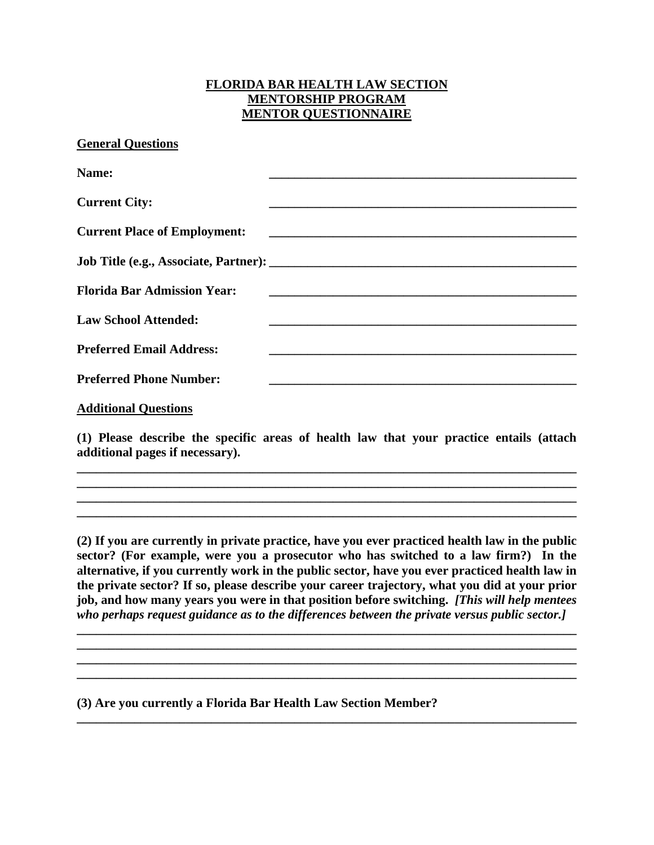## **FLORIDA BAR HEALTH LAW SECTION MENTORSHIP PROGRAM MENTOR QUESTIONNAIRE**

**General Questions**

| Name:                               |                                                                                                                       |
|-------------------------------------|-----------------------------------------------------------------------------------------------------------------------|
| <b>Current City:</b>                |                                                                                                                       |
| <b>Current Place of Employment:</b> | <u> 1989 - Johann Harry Harry Harry Harry Harry Harry Harry Harry Harry Harry Harry Harry Harry Harry Harry Harry</u> |
|                                     |                                                                                                                       |
| <b>Florida Bar Admission Year:</b>  |                                                                                                                       |
| <b>Law School Attended:</b>         |                                                                                                                       |
| <b>Preferred Email Address:</b>     |                                                                                                                       |
| <b>Preferred Phone Number:</b>      |                                                                                                                       |
| <b>Additional Questions</b>         |                                                                                                                       |

**(1) Please describe the specific areas of health law that your practice entails (attach additional pages if necessary).** 

**\_\_\_\_\_\_\_\_\_\_\_\_\_\_\_\_\_\_\_\_\_\_\_\_\_\_\_\_\_\_\_\_\_\_\_\_\_\_\_\_\_\_\_\_\_\_\_\_\_\_\_\_\_\_\_\_\_\_\_\_\_\_\_\_\_\_\_\_\_\_\_\_\_\_\_\_\_\_ \_\_\_\_\_\_\_\_\_\_\_\_\_\_\_\_\_\_\_\_\_\_\_\_\_\_\_\_\_\_\_\_\_\_\_\_\_\_\_\_\_\_\_\_\_\_\_\_\_\_\_\_\_\_\_\_\_\_\_\_\_\_\_\_\_\_\_\_\_\_\_\_\_\_\_\_\_\_ \_\_\_\_\_\_\_\_\_\_\_\_\_\_\_\_\_\_\_\_\_\_\_\_\_\_\_\_\_\_\_\_\_\_\_\_\_\_\_\_\_\_\_\_\_\_\_\_\_\_\_\_\_\_\_\_\_\_\_\_\_\_\_\_\_\_\_\_\_\_\_\_\_\_\_\_\_\_ \_\_\_\_\_\_\_\_\_\_\_\_\_\_\_\_\_\_\_\_\_\_\_\_\_\_\_\_\_\_\_\_\_\_\_\_\_\_\_\_\_\_\_\_\_\_\_\_\_\_\_\_\_\_\_\_\_\_\_\_\_\_\_\_\_\_\_\_\_\_\_\_\_\_\_\_\_\_** 

**(2) If you are currently in private practice, have you ever practiced health law in the public sector? (For example, were you a prosecutor who has switched to a law firm?) In the alternative, if you currently work in the public sector, have you ever practiced health law in the private sector? If so, please describe your career trajectory, what you did at your prior job, and how many years you were in that position before switching.** *[This will help mentees who perhaps request guidance as to the differences between the private versus public sector.]*

**\_\_\_\_\_\_\_\_\_\_\_\_\_\_\_\_\_\_\_\_\_\_\_\_\_\_\_\_\_\_\_\_\_\_\_\_\_\_\_\_\_\_\_\_\_\_\_\_\_\_\_\_\_\_\_\_\_\_\_\_\_\_\_\_\_\_\_\_\_\_\_\_\_\_\_\_\_\_ \_\_\_\_\_\_\_\_\_\_\_\_\_\_\_\_\_\_\_\_\_\_\_\_\_\_\_\_\_\_\_\_\_\_\_\_\_\_\_\_\_\_\_\_\_\_\_\_\_\_\_\_\_\_\_\_\_\_\_\_\_\_\_\_\_\_\_\_\_\_\_\_\_\_\_\_\_\_**

**\_\_\_\_\_\_\_\_\_\_\_\_\_\_\_\_\_\_\_\_\_\_\_\_\_\_\_\_\_\_\_\_\_\_\_\_\_\_\_\_\_\_\_\_\_\_\_\_\_\_\_\_\_\_\_\_\_\_\_\_\_\_\_\_\_\_\_\_\_\_\_\_\_\_\_\_\_\_** 

**\_\_\_\_\_\_\_\_\_\_\_\_\_\_\_\_\_\_\_\_\_\_\_\_\_\_\_\_\_\_\_\_\_\_\_\_\_\_\_\_\_\_\_\_\_\_\_\_\_\_\_\_\_\_\_\_\_\_\_\_\_\_\_\_\_\_\_\_\_\_\_\_\_\_\_\_\_\_** 

**(3) Are you currently a Florida Bar Health Law Section Member?**